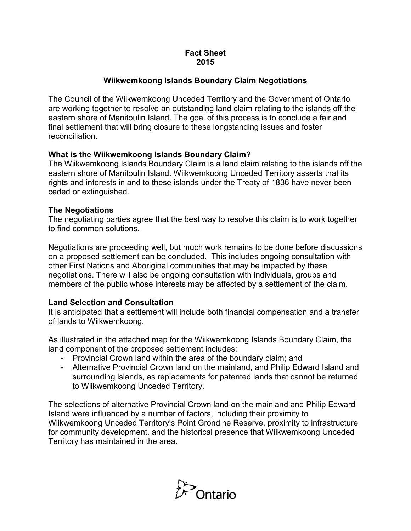# **Fact Sheet 2015**

# **Wiikwemkoong Islands Boundary Claim Negotiations**

 The Council of the Wiikwemkoong Unceded Territory and the Government of Ontario eastern shore of Manitoulin Island. The goal of this process is to conclude a fair and are working together to resolve an outstanding land claim relating to the islands off the final settlement that will bring closure to these longstanding issues and foster reconciliation.

# **What is the Wiikwemkoong Islands Boundary Claim?**

 eastern shore of Manitoulin Island. Wiikwemkoong Unceded Territory asserts that its The Wiikwemkoong Islands Boundary Claim is a land claim relating to the islands off the rights and interests in and to these islands under the Treaty of 1836 have never been ceded or extinguished.

### **The Negotiations**

 to find common solutions. The negotiating parties agree that the best way to resolve this claim is to work together

 other First Nations and Aboriginal communities that may be impacted by these negotiations. There will also be ongoing consultation with individuals, groups and members of the public whose interests may be affected by a settlement of the claim. Negotiations are proceeding well, but much work remains to be done before discussions on a proposed settlement can be concluded. This includes ongoing consultation with

### **Land Selection and Consultation**

It is anticipated that a settlement will include both financial compensation and a transfer of lands to Wiikwemkoong.

 land component of the proposed settlement includes: As illustrated in the attached map for the Wiikwemkoong Islands Boundary Claim, the

- Provincial Crown land within the area of the boundary claim; and
- Alternative Provincial Crown land on the mainland, and Philip Edward Island and surrounding islands, as replacements for patented lands that cannot be returned to Wiikwemkoong Unceded Territory.

 Island were influenced by a number of factors, including their proximity to The selections of alternative Provincial Crown land on the mainland and Philip Edward Wiikwemkoong Unceded Territory's Point Grondine Reserve, proximity to infrastructure for community development, and the historical presence that Wiikwemkoong Unceded Territory has maintained in the area.

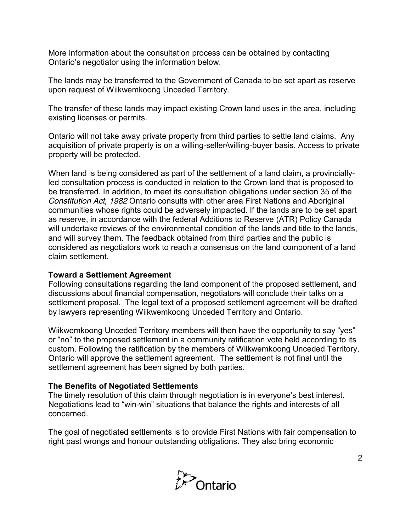More information about the consultation process can be obtained by contacting Ontario's negotiator using the information below.

upon request of Wiikwemkoong Unceded Territory. The lands may be transferred to the Government of Canada to be set apart as reserve

The transfer of these lands may impact existing Crown land uses in the area, including existing licenses or permits.

 property will be protected. Ontario will not take away private property from third parties to settle land claims. Any acquisition of private property is on a willing-seller/willing-buyer basis. Access to private

 When land is being considered as part of the settlement of a land claim, a provincially- be transferred. In addition, to meet its consultation obligations under section 35 of the communities whose rights could be adversely impacted. If the lands are to be set apart considered as negotiators work to reach a consensus on the land component of a land claim settlement. led consultation process is conducted in relation to the Crown land that is proposed to *Constitution Act, 1982* Ontario consults with other area First Nations and Aboriginal as reserve, in accordance with the federal Additions to Reserve (ATR) Policy Canada will undertake reviews of the environmental condition of the lands and title to the lands, and will survey them. The feedback obtained from third parties and the public is

### **Toward a Settlement Agreement**

 by lawyers representing Wiikwemkoong Unceded Territory and Ontario. Following consultations regarding the land component of the proposed settlement, and discussions about financial compensation, negotiators will conclude their talks on a settlement proposal. The legal text of a proposed settlement agreement will be drafted

 Wiikwemkoong Unceded Territory members will then have the opportunity to say "yes" custom. Following the ratification by the members of Wiikwemkoong Unceded Territory, Ontario will approve the settlement agreement. The settlement is not final until the settlement agreement has been signed by both parties. or "no" to the proposed settlement in a community ratification vote held according to its

#### **The Benefits of Negotiated Settlements**

 The timely resolution of this claim through negotiation is in everyone's best interest. Negotiations lead to "win-win" situations that balance the rights and interests of all concerned.

 right past wrongs and honour outstanding obligations. They also bring economic The goal of negotiated settlements is to provide First Nations with fair compensation to